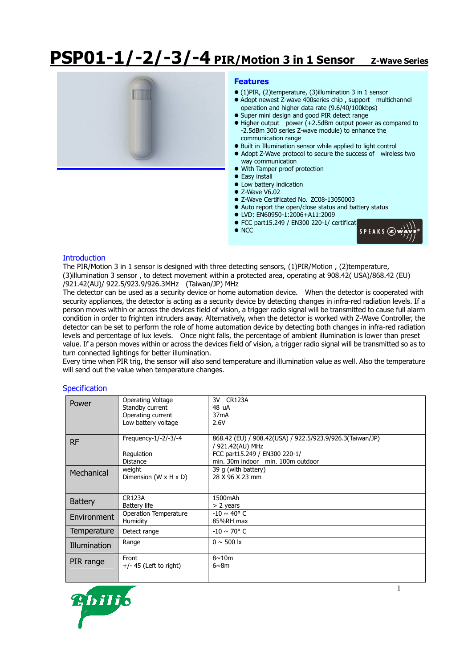# **PSP01-1/-2/-3/-4 PIR/Motion 3 in 1 Sensor Z-Wave Series**



#### **Features**

- (1)PIR, (2)temperature, (3)illumination 3 in 1 sensor
- Adopt newest Z-wave 400series chip , support multichannel operation and higher data rate (9.6/40/100kbps)
- Super mini design and good PIR detect range
- Higher output power (+2.5dBm output power as compared to -2.5dBm 300 series Z-wave module) to enhance the communication range
- Built in Illumination sensor while applied to light control
- Adopt Z-Wave protocol to secure the success of wireless two way communication
- With Tamper proof protection
- **•** Easy install
- $\bullet$  Low battery indication
- $\bullet$  Z-Wave V6.02
- Z-Wave Certificated No. ZC08-13050003
- Auto report the open/close status and battery status
- LVD: EN60950-1:2006+A11:2009
- 
- $\bullet$  NCC



### **Introduction**

The PIR/Motion 3 in 1 sensor is designed with three detecting sensors, (1)PIR/Motion , (2)temperature, (3)illumination 3 sensor , to detect movement within a protected area, operating at 908.42( USA)/868.42 (EU) /921.42(AU)/ 922.5/923.9/926.3MHz (Taiwan/JP) MHz

The detector can be used as a security device or home automation device. When the detector is cooperated with security appliances, the detector is acting as a security device by detecting changes in infra-red radiation levels. If a person moves within or across the devices field of vision, a trigger radio signal will be transmitted to cause full alarm condition in order to frighten intruders away. Alternatively, when the detector is worked with Z-Wave Controller, the detector can be set to perform the role of home automation device by detecting both changes in infra-red radiation levels and percentage of lux levels. Once night falls, the percentage of ambient illumination is lower than preset value. If a person moves within or across the devices field of vision, a trigger radio signal will be transmitted so as to turn connected lightings for better illumination.

Every time when PIR trig, the sensor will also send temperature and illumination value as well. Also the temperature will send out the value when temperature changes.

#### **Specification**

| Power              | Operating Voltage                 | 3V CR123A                                                |
|--------------------|-----------------------------------|----------------------------------------------------------|
|                    | Standby current                   | 48 uA                                                    |
|                    | Operating current                 | 37 <sub>m</sub> A                                        |
|                    | Low battery voltage               | 2.6V                                                     |
|                    |                                   |                                                          |
| <b>RF</b>          | Frequency- $1/-2/-3/-4$           | 868.42 (EU) / 908.42(USA) / 922.5/923.9/926.3(Taiwan/JP) |
|                    |                                   | / 921.42(AU) MHz                                         |
|                    | Regulation                        | FCC part15.249 / EN300 220-1/                            |
|                    | Distance                          | min. 30m indoor min. 100m outdoor                        |
| Mechanical         | weight                            | 39 q (with battery)                                      |
|                    | Dimension $(W \times H \times D)$ | 28 X 96 X 23 mm                                          |
|                    |                                   |                                                          |
|                    |                                   |                                                          |
| <b>Battery</b>     | <b>CR123A</b>                     | 1500mAh                                                  |
|                    | Battery life                      | > 2 years                                                |
| <b>Environment</b> | <b>Operation Temperature</b>      | $-10 \sim 40^{\circ}$ C                                  |
|                    | Humidity                          | 85%RH max                                                |
| Temperature        | Detect range                      | $-10 \sim 70^{\circ}$ C                                  |
|                    | Range                             | $0 \sim 500$ k                                           |
| Illumination       |                                   |                                                          |
|                    | Front                             | $8\sim10m$                                               |
| PIR range          | $+/- 45$ (Left to right)          | $6\nu$ 8m                                                |
|                    |                                   |                                                          |